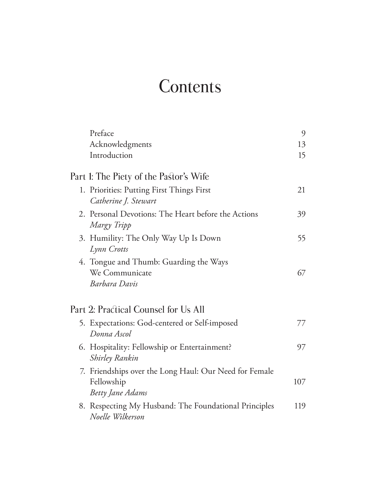# **Contents**

| Preface                                                                                  | 9   |
|------------------------------------------------------------------------------------------|-----|
| Acknowledgments                                                                          | 13  |
| Introduction                                                                             | 15  |
| Part 1: The Piety of the Pastor's Wife                                                   |     |
| 1. Priorities: Putting First Things First<br>Catherine J. Stewart                        | 21  |
| 2. Personal Devotions: The Heart before the Actions<br>Margy Tripp                       | 39  |
| 3. Humility: The Only Way Up Is Down<br>Lynn Crotts                                      | 55  |
| 4. Tongue and Thumb: Guarding the Ways<br>We Communicate<br>Barbara Davis                | 67  |
| Part 2: Practical Counsel for Us All                                                     |     |
| 5. Expectations: God-centered or Self-imposed<br>Donna Ascol                             | 77  |
| 6. Hospitality: Fellowship or Entertainment?<br>Shirley Rankin                           | 97  |
| 7. Friendships over the Long Haul: Our Need for Female<br>Fellowship<br>Betty Jane Adams | 107 |
| 8. Respecting My Husband: The Foundational Principles<br>Noelle Wilkerson                | 119 |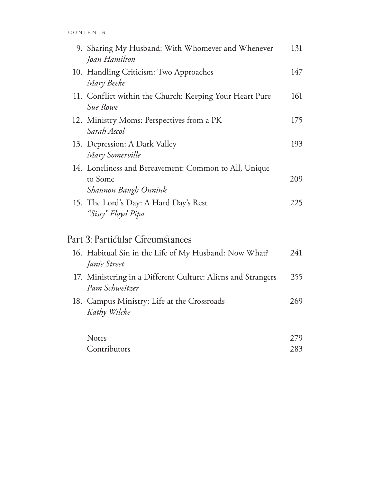| 9. Sharing My Husband: With Whomever and Whenever<br>Joan Hamilton                       | 131 |
|------------------------------------------------------------------------------------------|-----|
| 10. Handling Criticism: Two Approaches<br>Mary Beeke                                     | 147 |
| 11. Conflict within the Church: Keeping Your Heart Pure<br>Sue Rowe                      | 161 |
| 12. Ministry Moms: Perspectives from a PK<br>Sarah Ascol                                 | 175 |
| 13. Depression: A Dark Valley<br>Mary Somerville                                         | 193 |
| 14. Loneliness and Bereavement: Common to All, Unique<br>to Some<br>Shannon Baugh Onnink | 209 |
| 15. The Lord's Day: A Hard Day's Rest<br>"Sissy" Floyd Pipa                              | 225 |
| Part 3: Particular Circumstances                                                         |     |
| 16. Habitual Sin in the Life of My Husband: Now What?<br>Janie Street                    | 241 |
| 17. Ministering in a Different Culture: Aliens and Strangers<br>Pam Schweitzer           | 255 |
| 18. Campus Ministry: Life at the Crossroads<br>Kathy Wilcke                              | 269 |
| Notes                                                                                    | 279 |
| Contributors                                                                             | 283 |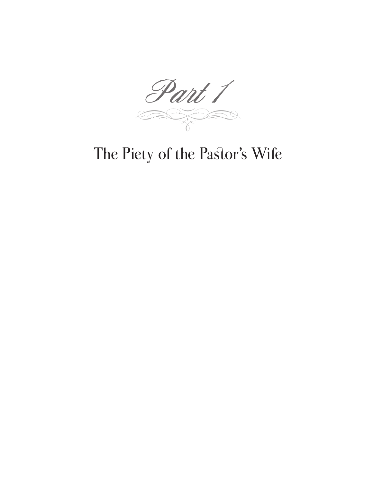ØÙŒ Part 1

## The Piety of the Pastor's Wife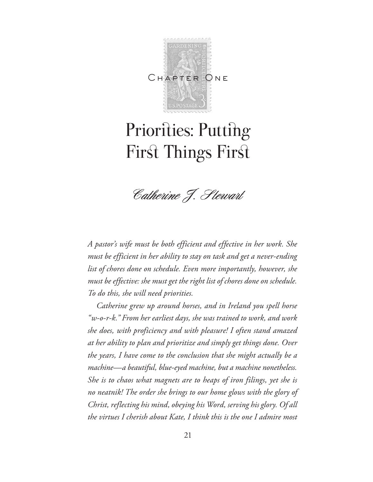

# Priorities: Putting First Things First

Catherine J. Stewart

*A pastor's wife must be both efficient and effective in her work. She must be efficient in her ability to stay on task and get a never-ending list of chores done on schedule. Even more importantly, however, she must be effective: she must get the right list of chores done on schedule. To do this, she will need priorities.* 

*Catherine grew up around horses, and in Ireland you spell horse "w-o-r-k." From her earliest days, she was trained to work, and work she does, with proficiency and with pleasure! I often stand amazed at her ability to plan and prioritize and simply get things done. Over the years, I have come to the conclusion that she might actually be a machine—a beautiful, blue-eyed machine, but a machine nonetheless. She is to chaos what magnets are to heaps of iron filings, yet she is no neatnik! The order she brings to our home glows with the glory of Christ, reflecting his mind, obeying his Word, serving his glory. Of all the virtues I cherish about Kate, I think this is the one I admire most*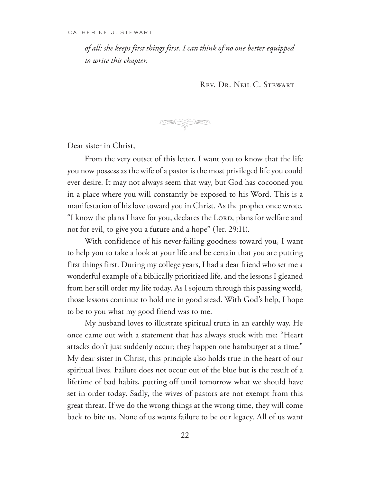*of all: she keeps first things first. I can think of no one better equipped to write this chapter.*

REV. DR. NEIL C. STEWART

ØÙŒ

Dear sister in Christ,

From the very outset of this letter, I want you to know that the life you now possess as the wife of a pastor is the most privileged life you could ever desire. It may not always seem that way, but God has cocooned you in a place where you will constantly be exposed to his Word. This is a manifestation of his love toward you in Christ. As the prophet once wrote, "I know the plans I have for you, declares the LORD, plans for welfare and not for evil, to give you a future and a hope" (Jer. 29:11).

With confidence of his never-failing goodness toward you, I want to help you to take a look at your life and be certain that you are putting first things first. During my college years, I had a dear friend who set me a wonderful example of a biblically prioritized life, and the lessons I gleaned from her still order my life today. As I sojourn through this passing world, those lessons continue to hold me in good stead. With God's help, I hope to be to you what my good friend was to me.

My husband loves to illustrate spiritual truth in an earthly way. He once came out with a statement that has always stuck with me: "Heart attacks don't just suddenly occur; they happen one hamburger at a time." My dear sister in Christ, this principle also holds true in the heart of our spiritual lives. Failure does not occur out of the blue but is the result of a lifetime of bad habits, putting off until tomorrow what we should have set in order today. Sadly, the wives of pastors are not exempt from this great threat. If we do the wrong things at the wrong time, they will come back to bite us. None of us wants failure to be our legacy. All of us want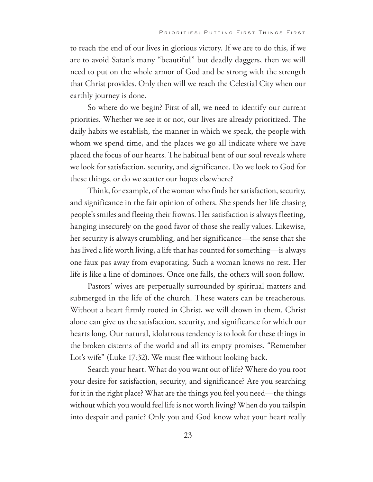to reach the end of our lives in glorious victory. If we are to do this, if we are to avoid Satan's many "beautiful" but deadly daggers, then we will need to put on the whole armor of God and be strong with the strength that Christ provides. Only then will we reach the Celestial City when our earthly journey is done.

So where do we begin? First of all, we need to identify our current priorities. Whether we see it or not, our lives are already prioritized. The daily habits we establish, the manner in which we speak, the people with whom we spend time, and the places we go all indicate where we have placed the focus of our hearts. The habitual bent of our soul reveals where we look for satisfaction, security, and significance. Do we look to God for these things, or do we scatter our hopes elsewhere?

Think, for example, of the woman who finds her satisfaction, security, and significance in the fair opinion of others. She spends her life chasing people's smiles and fleeing their frowns. Her satisfaction is always fleeting, hanging insecurely on the good favor of those she really values. Likewise, her security is always crumbling, and her significance—the sense that she has lived a life worth living, a life that has counted for something—is always one faux pas away from evaporating. Such a woman knows no rest. Her life is like a line of dominoes. Once one falls, the others will soon follow.

Pastors' wives are perpetually surrounded by spiritual matters and submerged in the life of the church. These waters can be treacherous. Without a heart firmly rooted in Christ, we will drown in them. Christ alone can give us the satisfaction, security, and significance for which our hearts long. Our natural, idolatrous tendency is to look for these things in the broken cisterns of the world and all its empty promises. "Remember Lot's wife" (Luke 17:32). We must flee without looking back.

Search your heart. What do you want out of life? Where do you root your desire for satisfaction, security, and significance? Are you searching for it in the right place? What are the things you feel you need—the things without which you would feel life is not worth living? When do you tailspin into despair and panic? Only you and God know what your heart really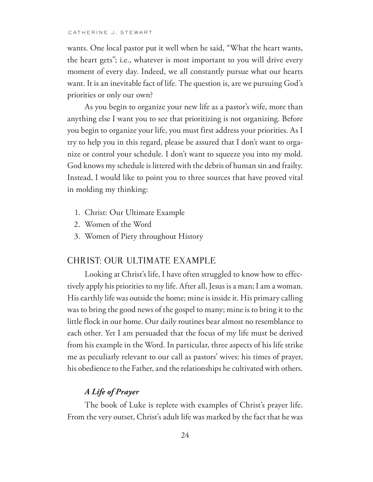wants. One local pastor put it well when he said, "What the heart wants, the heart gets"; i.e., whatever is most important to you will drive every moment of every day. Indeed, we all constantly pursue what our hearts want. It is an inevitable fact of life. The question is, are we pursuing God's priorities or only our own?

As you begin to organize your new life as a pastor's wife, more than anything else I want you to see that prioritizing is not organizing. Before you begin to organize your life, you must first address your priorities. As I try to help you in this regard, please be assured that I don't want to organize or control your schedule. I don't want to squeeze you into my mold. God knows my schedule is littered with the debris of human sin and frailty. Instead, I would like to point you to three sources that have proved vital in molding my thinking:

- 1. Christ: Our Ultimate Example
- 2. Women of the Word
- 3. Women of Piety throughout History

## CHRIST: OUR ULTIMATE EXAMPLE

Looking at Christ's life, I have often struggled to know how to effectively apply his priorities to my life. After all, Jesus is a man; I am a woman. His earthly life was outside the home; mine is inside it. His primary calling was to bring the good news of the gospel to many; mine is to bring it to the little flock in our home. Our daily routines bear almost no resemblance to each other. Yet I am persuaded that the focus of my life must be derived from his example in the Word. In particular, three aspects of his life strike me as peculiarly relevant to our call as pastors' wives: his times of prayer, his obedience to the Father, and the relationships he cultivated with others.

## *A Life of Prayer*

The book of Luke is replete with examples of Christ's prayer life. From the very outset, Christ's adult life was marked by the fact that he was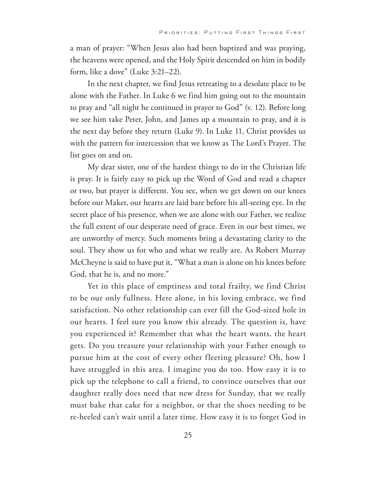a man of prayer: "When Jesus also had been baptized and was praying, the heavens were opened, and the Holy Spirit descended on him in bodily form, like a dove" (Luke 3:21–22).

In the next chapter, we find Jesus retreating to a desolate place to be alone with the Father. In Luke 6 we find him going out to the mountain to pray and "all night he continued in prayer to God" (v. 12). Before long we see him take Peter, John, and James up a mountain to pray, and it is the next day before they return (Luke 9). In Luke 11, Christ provides us with the pattern for intercession that we know as The Lord's Prayer. The list goes on and on.

My dear sister, one of the hardest things to do in the Christian life is pray. It is fairly easy to pick up the Word of God and read a chapter or two, but prayer is different. You see, when we get down on our knees before our Maker, our hearts are laid bare before his all-seeing eye. In the secret place of his presence, when we are alone with our Father, we realize the full extent of our desperate need of grace. Even in our best times, we are unworthy of mercy. Such moments bring a devastating clarity to the soul. They show us for who and what we really are. As Robert Murray McCheyne is said to have put it, "What a man is alone on his knees before God, that he is, and no more."

Yet in this place of emptiness and total frailty, we find Christ to be our only fullness. Here alone, in his loving embrace, we find satisfaction. No other relationship can ever fill the God-sized hole in our hearts. I feel sure you know this already. The question is, have you experienced it? Remember that what the heart wants, the heart gets. Do you treasure your relationship with your Father enough to pursue him at the cost of every other fleeting pleasure? Oh, how I have struggled in this area. I imagine you do too. How easy it is to pick up the telephone to call a friend, to convince ourselves that our daughter really does need that new dress for Sunday, that we really must bake that cake for a neighbor, or that the shoes needing to be re-heeled can't wait until a later time. How easy it is to forget God in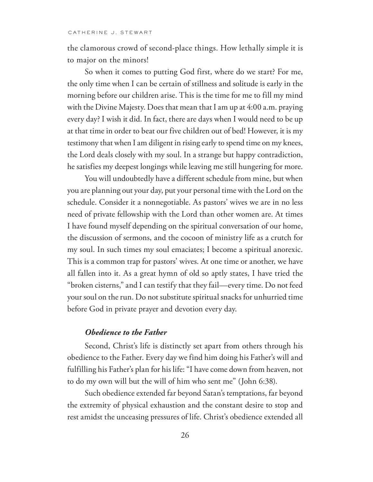the clamorous crowd of second-place things. How lethally simple it is to major on the minors!

So when it comes to putting God first, where do we start? For me, the only time when I can be certain of stillness and solitude is early in the morning before our children arise. This is the time for me to fill my mind with the Divine Majesty. Does that mean that I am up at 4:00 a.m. praying every day? I wish it did. In fact, there are days when I would need to be up at that time in order to beat our five children out of bed! However, it is my testimony that when I am diligent in rising early to spend time on my knees, the Lord deals closely with my soul. In a strange but happy contradiction, he satisfies my deepest longings while leaving me still hungering for more.

You will undoubtedly have a different schedule from mine, but when you are planning out your day, put your personal time with the Lord on the schedule. Consider it a nonnegotiable. As pastors' wives we are in no less need of private fellowship with the Lord than other women are. At times I have found myself depending on the spiritual conversation of our home, the discussion of sermons, and the cocoon of ministry life as a crutch for my soul. In such times my soul emaciates; I become a spiritual anorexic. This is a common trap for pastors' wives. At one time or another, we have all fallen into it. As a great hymn of old so aptly states, I have tried the "broken cisterns," and I can testify that they fail—every time. Do not feed your soul on the run. Do not substitute spiritual snacks for unhurried time before God in private prayer and devotion every day.

## *Obedience to the Father*

Second, Christ's life is distinctly set apart from others through his obedience to the Father. Every day we find him doing his Father's will and fulfilling his Father's plan for his life: "I have come down from heaven, not to do my own will but the will of him who sent me" (John 6:38).

Such obedience extended far beyond Satan's temptations, far beyond the extremity of physical exhaustion and the constant desire to stop and rest amidst the unceasing pressures of life. Christ's obedience extended all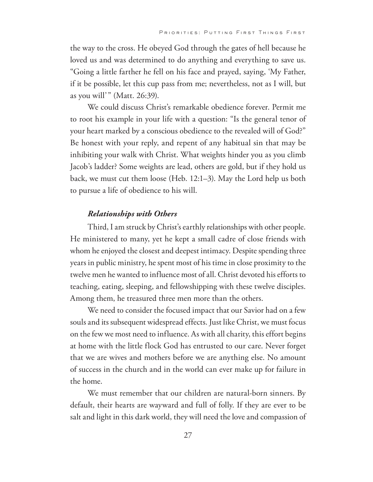the way to the cross. He obeyed God through the gates of hell because he loved us and was determined to do anything and everything to save us. "Going a little farther he fell on his face and prayed, saying, 'My Father, if it be possible, let this cup pass from me; nevertheless, not as I will, but as you will'" (Matt. 26:39).

We could discuss Christ's remarkable obedience forever. Permit me to root his example in your life with a question: "Is the general tenor of your heart marked by a conscious obedience to the revealed will of God?" Be honest with your reply, and repent of any habitual sin that may be inhibiting your walk with Christ. What weights hinder you as you climb Jacob's ladder? Some weights are lead, others are gold, but if they hold us back, we must cut them loose (Heb. 12:1–3). May the Lord help us both to pursue a life of obedience to his will.

### *Relationships with Others*

Third, I am struck by Christ's earthly relationships with other people. He ministered to many, yet he kept a small cadre of close friends with whom he enjoyed the closest and deepest intimacy. Despite spending three years in public ministry, he spent most of his time in close proximity to the twelve men he wanted to influence most of all. Christ devoted his efforts to teaching, eating, sleeping, and fellowshipping with these twelve disciples. Among them, he treasured three men more than the others.

We need to consider the focused impact that our Savior had on a few souls and its subsequent widespread effects. Just like Christ, we must focus on the few we most need to influence. As with all charity, this effort begins at home with the little flock God has entrusted to our care. Never forget that we are wives and mothers before we are anything else. No amount of success in the church and in the world can ever make up for failure in the home.

We must remember that our children are natural-born sinners. By default, their hearts are wayward and full of folly. If they are ever to be salt and light in this dark world, they will need the love and compassion of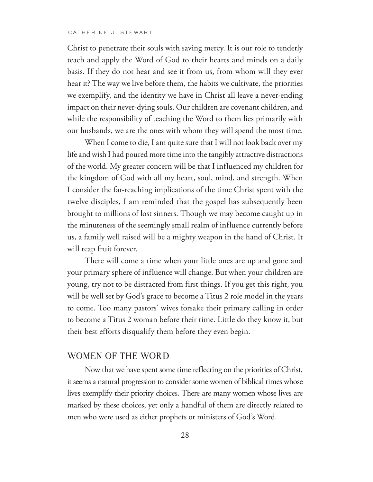Christ to penetrate their souls with saving mercy. It is our role to tenderly teach and apply the Word of God to their hearts and minds on a daily basis. If they do not hear and see it from us, from whom will they ever hear it? The way we live before them, the habits we cultivate, the priorities we exemplify, and the identity we have in Christ all leave a never-ending impact on their never-dying souls. Our children are covenant children, and while the responsibility of teaching the Word to them lies primarily with our husbands, we are the ones with whom they will spend the most time.

When I come to die, I am quite sure that I will not look back over my life and wish I had poured more time into the tangibly attractive distractions of the world. My greater concern will be that I influenced my children for the kingdom of God with all my heart, soul, mind, and strength. When I consider the far-reaching implications of the time Christ spent with the twelve disciples, I am reminded that the gospel has subsequently been brought to millions of lost sinners. Though we may become caught up in the minuteness of the seemingly small realm of influence currently before us, a family well raised will be a mighty weapon in the hand of Christ. It will reap fruit forever.

There will come a time when your little ones are up and gone and your primary sphere of influence will change. But when your children are young, try not to be distracted from first things. If you get this right, you will be well set by God's grace to become a Titus 2 role model in the years to come. Too many pastors' wives forsake their primary calling in order to become a Titus 2 woman before their time. Little do they know it, but their best efforts disqualify them before they even begin.

## WOMEN OF THE WORD

Now that we have spent some time reflecting on the priorities of Christ, it seems a natural progression to consider some women of biblical times whose lives exemplify their priority choices. There are many women whose lives are marked by these choices, yet only a handful of them are directly related to men who were used as either prophets or ministers of God's Word.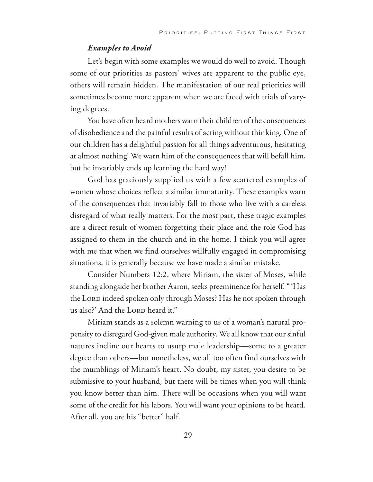#### *Examples to Avoid*

Let's begin with some examples we would do well to avoid. Though some of our priorities as pastors' wives are apparent to the public eye, others will remain hidden. The manifestation of our real priorities will sometimes become more apparent when we are faced with trials of varying degrees.

You have often heard mothers warn their children of the consequences of disobedience and the painful results of acting without thinking. One of our children has a delightful passion for all things adventurous, hesitating at almost nothing! We warn him of the consequences that will befall him, but he invariably ends up learning the hard way!

God has graciously supplied us with a few scattered examples of women whose choices reflect a similar immaturity. These examples warn of the consequences that invariably fall to those who live with a careless disregard of what really matters. For the most part, these tragic examples are a direct result of women forgetting their place and the role God has assigned to them in the church and in the home. I think you will agree with me that when we find ourselves willfully engaged in compromising situations, it is generally because we have made a similar mistake.

Consider Numbers 12:2, where Miriam, the sister of Moses, while standing alongside her brother Aaron, seeks preeminence for herself. " 'Has the LORD indeed spoken only through Moses? Has he not spoken through us also?' And the LORD heard it."

Miriam stands as a solemn warning to us of a woman's natural propensity to disregard God-given male authority. We all know that our sinful natures incline our hearts to usurp male leadership—some to a greater degree than others—but nonetheless, we all too often find ourselves with the mumblings of Miriam's heart. No doubt, my sister, you desire to be submissive to your husband, but there will be times when you will think you know better than him. There will be occasions when you will want some of the credit for his labors. You will want your opinions to be heard. After all, you are his "better" half.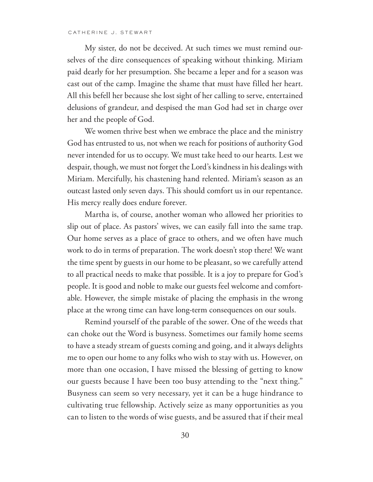My sister, do not be deceived. At such times we must remind ourselves of the dire consequences of speaking without thinking. Miriam paid dearly for her presumption. She became a leper and for a season was cast out of the camp. Imagine the shame that must have filled her heart. All this befell her because she lost sight of her calling to serve, entertained delusions of grandeur, and despised the man God had set in charge over her and the people of God.

We women thrive best when we embrace the place and the ministry God has entrusted to us, not when we reach for positions of authority God never intended for us to occupy. We must take heed to our hearts. Lest we despair, though, we must not forget the Lord's kindness in his dealings with Miriam. Mercifully, his chastening hand relented. Miriam's season as an outcast lasted only seven days. This should comfort us in our repentance. His mercy really does endure forever.

Martha is, of course, another woman who allowed her priorities to slip out of place. As pastors' wives, we can easily fall into the same trap. Our home serves as a place of grace to others, and we often have much work to do in terms of preparation. The work doesn't stop there! We want the time spent by guests in our home to be pleasant, so we carefully attend to all practical needs to make that possible. It is a joy to prepare for God's people. It is good and noble to make our guests feel welcome and comfortable. However, the simple mistake of placing the emphasis in the wrong place at the wrong time can have long-term consequences on our souls.

Remind yourself of the parable of the sower. One of the weeds that can choke out the Word is busyness. Sometimes our family home seems to have a steady stream of guests coming and going, and it always delights me to open our home to any folks who wish to stay with us. However, on more than one occasion, I have missed the blessing of getting to know our guests because I have been too busy attending to the "next thing." Busyness can seem so very necessary, yet it can be a huge hindrance to cultivating true fellowship. Actively seize as many opportunities as you can to listen to the words of wise guests, and be assured that if their meal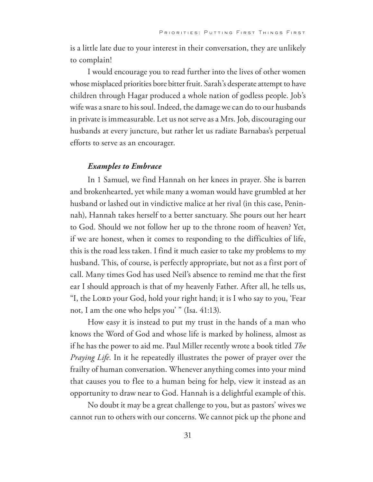is a little late due to your interest in their conversation, they are unlikely to complain!

I would encourage you to read further into the lives of other women whose misplaced priorities bore bitter fruit. Sarah's desperate attempt to have children through Hagar produced a whole nation of godless people. Job's wife was a snare to his soul. Indeed, the damage we can do to our husbands in private is immeasurable. Let us not serve as a Mrs. Job, discouraging our husbands at every juncture, but rather let us radiate Barnabas's perpetual efforts to serve as an encourager.

#### *Examples to Embrace*

In 1 Samuel, we find Hannah on her knees in prayer. She is barren and brokenhearted, yet while many a woman would have grumbled at her husband or lashed out in vindictive malice at her rival (in this case, Peninnah), Hannah takes herself to a better sanctuary. She pours out her heart to God. Should we not follow her up to the throne room of heaven? Yet, if we are honest, when it comes to responding to the difficulties of life, this is the road less taken. I find it much easier to take my problems to my husband. This, of course, is perfectly appropriate, but not as a first port of call. Many times God has used Neil's absence to remind me that the first ear I should approach is that of my heavenly Father. After all, he tells us, "I, the LORD your God, hold your right hand; it is I who say to you, 'Fear not, I am the one who helps you' " (Isa. 41:13).

How easy it is instead to put my trust in the hands of a man who knows the Word of God and whose life is marked by holiness, almost as if he has the power to aid me. Paul Miller recently wrote a book titled *The Praying Life*. In it he repeatedly illustrates the power of prayer over the frailty of human conversation. Whenever anything comes into your mind that causes you to flee to a human being for help, view it instead as an opportunity to draw near to God. Hannah is a delightful example of this.

No doubt it may be a great challenge to you, but as pastors' wives we cannot run to others with our concerns. We cannot pick up the phone and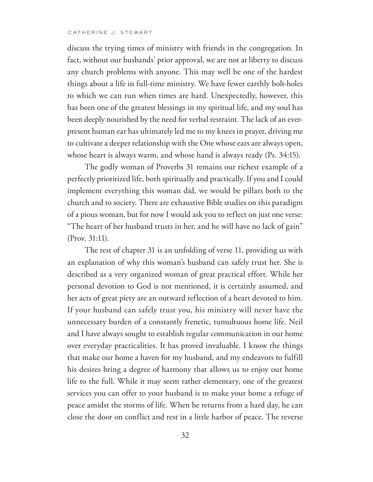discuss the trying times of ministry with friends in the congregation. In fact, without our husbands' prior approval, we are not at liberty to discuss any church problems with anyone. This may well be one of the hardest things about a life in full-time ministry. We have fewer earthly bolt-holes to which we can run when times are hard. Unexpectedly, however, this has been one of the greatest blessings in my spiritual life, and my soul has been deeply nourished by the need for verbal restraint. The lack of an everpresent human ear has ultimately led me to my knees in prayer, driving me to cultivate a deeper relationship with the One whose ears are always open, whose heart is always warm, and whose hand is always ready (Ps. 34:15).

The godly woman of Proverbs 31 remains our richest example of a perfectly prioritized life, both spiritually and practically. If you and I could implement everything this woman did, we would be pillars both to the church and to society. There are exhaustive Bible studies on this paradigm of a pious woman, but for now I would ask you to reflect on just one verse: "The heart of her husband trusts in her, and he will have no lack of gain" (Prov. 31:11).

The rest of chapter 31 is an unfolding of verse 11, providing us with an explanation of why this woman's husband can safely trust her. She is described as a very organized woman of great practical effort. While her personal devotion to God is not mentioned, it is certainly assumed, and her acts of great piety are an outward reflection of a heart devoted to him. If your husband can safely trust you, his ministry will never have the unnecessary burden of a constantly frenetic, tumultuous home life. Neil and I have always sought to establish regular communication in our home over everyday practicalities. It has proved invaluable. I know the things that make our home a haven for my husband, and my endeavors to fulfill his desires bring a degree of harmony that allows us to enjoy our home life to the full. While it may seem rather elementary, one of the greatest services you can offer to your husband is to make your home a refuge of peace amidst the storms of life. When he returns from a hard day, he can close the door on conflict and rest in a little harbor of peace. The reverse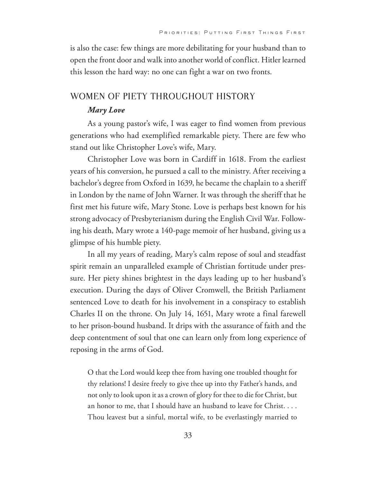is also the case: few things are more debilitating for your husband than to open the front door and walk into another world of conflict. Hitler learned this lesson the hard way: no one can fight a war on two fronts.

## WOMEN OF PIETY THROUGHOUT HISTORY

### *Mary Love*

As a young pastor's wife, I was eager to find women from previous generations who had exemplified remarkable piety. There are few who stand out like Christopher Love's wife, Mary.

Christopher Love was born in Cardiff in 1618. From the earliest years of his conversion, he pursued a call to the ministry. After receiving a bachelor's degree from Oxford in 1639, he became the chaplain to a sheriff in London by the name of John Warner. It was through the sheriff that he first met his future wife, Mary Stone. Love is perhaps best known for his strong advocacy of Presbyterianism during the English Civil War. Following his death, Mary wrote a 140-page memoir of her husband, giving us a glimpse of his humble piety.

In all my years of reading, Mary's calm repose of soul and steadfast spirit remain an unparalleled example of Christian fortitude under pressure. Her piety shines brightest in the days leading up to her husband's execution. During the days of Oliver Cromwell, the British Parliament sentenced Love to death for his involvement in a conspiracy to establish Charles II on the throne. On July 14, 1651, Mary wrote a final farewell to her prison-bound husband. It drips with the assurance of faith and the deep contentment of soul that one can learn only from long experience of reposing in the arms of God.

O that the Lord would keep thee from having one troubled thought for thy relations! I desire freely to give thee up into thy Father's hands, and not only to look upon it as a crown of glory for thee to die for Christ, but an honor to me, that I should have an husband to leave for Christ. . . . Thou leavest but a sinful, mortal wife, to be everlastingly married to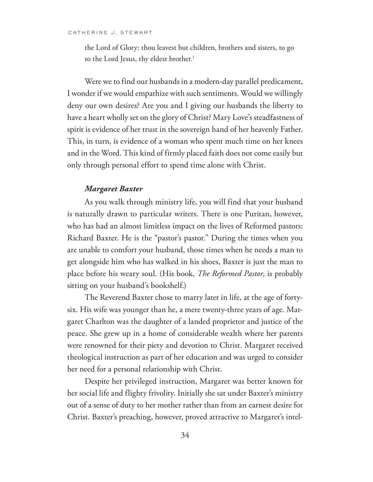the Lord of Glory: thou leavest but children, brothers and sisters, to go to the Lord Jesus, thy eldest brother.<sup>1</sup>

Were we to find our husbands in a modern-day parallel predicament, I wonder if we would empathize with such sentiments. Would we willingly deny our own desires? Are you and I giving our husbands the liberty to have a heart wholly set on the glory of Christ? Mary Love's steadfastness of spirit is evidence of her trust in the sovereign hand of her heavenly Father. This, in turn, is evidence of a woman who spent much time on her knees and in the Word. This kind of firmly placed faith does not come easily but only through personal effort to spend time alone with Christ.

#### *Margaret Baxter*

As you walk through ministry life, you will find that your husband is naturally drawn to particular writers. There is one Puritan, however, who has had an almost limitless impact on the lives of Reformed pastors: Richard Baxter. He is the "pastor's pastor." During the times when you are unable to comfort your husband, those times when he needs a man to get alongside him who has walked in his shoes, Baxter is just the man to place before his weary soul. (His book, *The Reformed Pastor*, is probably sitting on your husband's bookshelf.)

The Reverend Baxter chose to marry later in life, at the age of fortysix. His wife was younger than he, a mere twenty-three years of age. Margaret Charlton was the daughter of a landed proprietor and justice of the peace. She grew up in a home of considerable wealth where her parents were renowned for their piety and devotion to Christ. Margaret received theological instruction as part of her education and was urged to consider her need for a personal relationship with Christ.

Despite her privileged instruction, Margaret was better known for her social life and flighty frivolity. Initially she sat under Baxter's ministry out of a sense of duty to her mother rather than from an earnest desire for Christ. Baxter's preaching, however, proved attractive to Margaret's intel-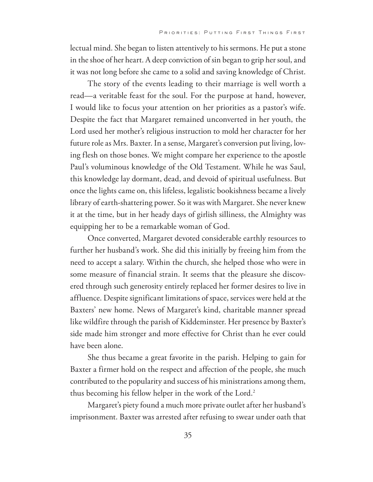lectual mind. She began to listen attentively to his sermons. He put a stone in the shoe of her heart. A deep conviction of sin began to grip her soul, and it was not long before she came to a solid and saving knowledge of Christ.

The story of the events leading to their marriage is well worth a read—a veritable feast for the soul. For the purpose at hand, however, I would like to focus your attention on her priorities as a pastor's wife. Despite the fact that Margaret remained unconverted in her youth, the Lord used her mother's religious instruction to mold her character for her future role as Mrs. Baxter. In a sense, Margaret's conversion put living, loving flesh on those bones. We might compare her experience to the apostle Paul's voluminous knowledge of the Old Testament. While he was Saul, this knowledge lay dormant, dead, and devoid of spiritual usefulness. But once the lights came on, this lifeless, legalistic bookishness became a lively library of earth-shattering power. So it was with Margaret. She never knew it at the time, but in her heady days of girlish silliness, the Almighty was equipping her to be a remarkable woman of God.

Once converted, Margaret devoted considerable earthly resources to further her husband's work. She did this initially by freeing him from the need to accept a salary. Within the church, she helped those who were in some measure of financial strain. It seems that the pleasure she discovered through such generosity entirely replaced her former desires to live in affluence. Despite significant limitations of space, services were held at the Baxters' new home. News of Margaret's kind, charitable manner spread like wildfire through the parish of Kiddeminster. Her presence by Baxter's side made him stronger and more effective for Christ than he ever could have been alone.

She thus became a great favorite in the parish. Helping to gain for Baxter a firmer hold on the respect and affection of the people, she much contributed to the popularity and success of his ministrations among them, thus becoming his fellow helper in the work of the Lord.<sup>2</sup>

Margaret's piety found a much more private outlet after her husband's imprisonment. Baxter was arrested after refusing to swear under oath that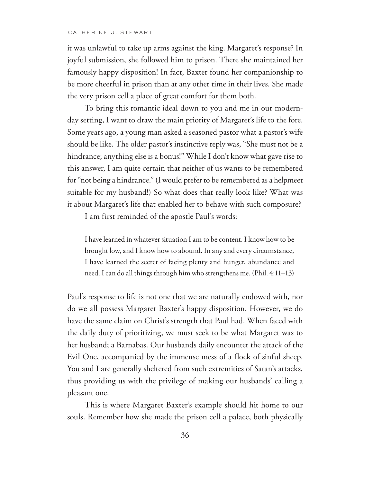it was unlawful to take up arms against the king. Margaret's response? In joyful submission, she followed him to prison. There she maintained her famously happy disposition! In fact, Baxter found her companionship to be more cheerful in prison than at any other time in their lives. She made the very prison cell a place of great comfort for them both.

To bring this romantic ideal down to you and me in our modernday setting, I want to draw the main priority of Margaret's life to the fore. Some years ago, a young man asked a seasoned pastor what a pastor's wife should be like. The older pastor's instinctive reply was, "She must not be a hindrance; anything else is a bonus!" While I don't know what gave rise to this answer, I am quite certain that neither of us wants to be remembered for "not being a hindrance." (I would prefer to be remembered as a helpmeet suitable for my husband!) So what does that really look like? What was it about Margaret's life that enabled her to behave with such composure?

I am first reminded of the apostle Paul's words:

I have learned in whatever situation I am to be content. I know how to be brought low, and I know how to abound. In any and every circumstance, I have learned the secret of facing plenty and hunger, abundance and need. I can do all things through him who strengthens me. (Phil. 4:11–13)

Paul's response to life is not one that we are naturally endowed with, nor do we all possess Margaret Baxter's happy disposition. However, we do have the same claim on Christ's strength that Paul had. When faced with the daily duty of prioritizing, we must seek to be what Margaret was to her husband; a Barnabas. Our husbands daily encounter the attack of the Evil One, accompanied by the immense mess of a flock of sinful sheep. You and I are generally sheltered from such extremities of Satan's attacks, thus providing us with the privilege of making our husbands' calling a pleasant one.

This is where Margaret Baxter's example should hit home to our souls. Remember how she made the prison cell a palace, both physically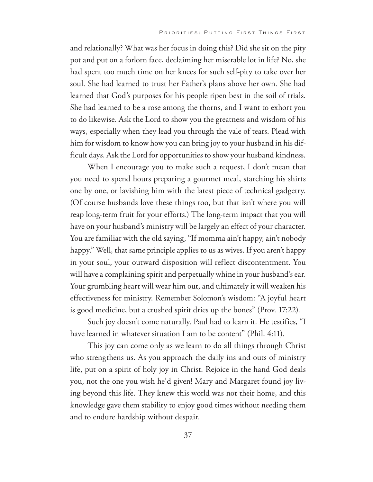and relationally? What was her focus in doing this? Did she sit on the pity pot and put on a forlorn face, declaiming her miserable lot in life? No, she had spent too much time on her knees for such self-pity to take over her soul. She had learned to trust her Father's plans above her own. She had learned that God's purposes for his people ripen best in the soil of trials. She had learned to be a rose among the thorns, and I want to exhort you to do likewise. Ask the Lord to show you the greatness and wisdom of his ways, especially when they lead you through the vale of tears. Plead with him for wisdom to know how you can bring joy to your husband in his difficult days. Ask the Lord for opportunities to show your husband kindness.

When I encourage you to make such a request, I don't mean that you need to spend hours preparing a gourmet meal, starching his shirts one by one, or lavishing him with the latest piece of technical gadgetry. (Of course husbands love these things too, but that isn't where you will reap long-term fruit for your efforts.) The long-term impact that you will have on your husband's ministry will be largely an effect of your character. You are familiar with the old saying, "If momma ain't happy, ain't nobody happy." Well, that same principle applies to us as wives. If you aren't happy in your soul, your outward disposition will reflect discontentment. You will have a complaining spirit and perpetually whine in your husband's ear. Your grumbling heart will wear him out, and ultimately it will weaken his effectiveness for ministry. Remember Solomon's wisdom: "A joyful heart is good medicine, but a crushed spirit dries up the bones" (Prov. 17:22).

Such joy doesn't come naturally. Paul had to learn it. He testifies, "I have learned in whatever situation I am to be content" (Phil. 4:11).

This joy can come only as we learn to do all things through Christ who strengthens us. As you approach the daily ins and outs of ministry life, put on a spirit of holy joy in Christ. Rejoice in the hand God deals you, not the one you wish he'd given! Mary and Margaret found joy living beyond this life. They knew this world was not their home, and this knowledge gave them stability to enjoy good times without needing them and to endure hardship without despair.